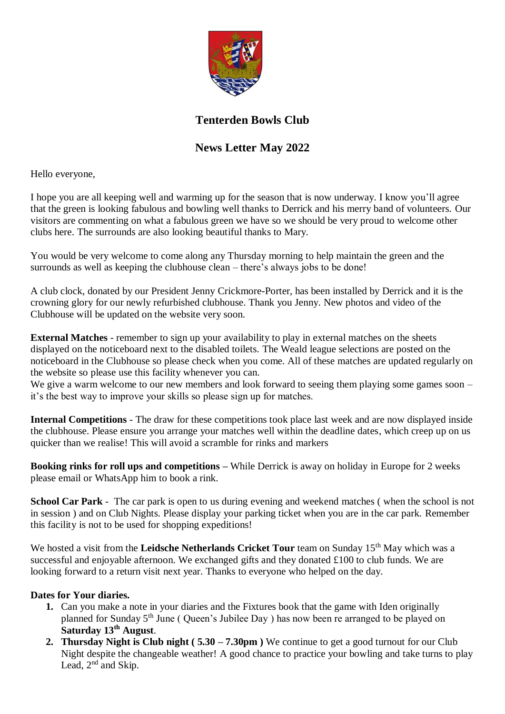

## **Tenterden Bowls Club**

## **News Letter May 2022**

Hello everyone,

I hope you are all keeping well and warming up for the season that is now underway. I know you'll agree that the green is looking fabulous and bowling well thanks to Derrick and his merry band of volunteers. Our visitors are commenting on what a fabulous green we have so we should be very proud to welcome other clubs here. The surrounds are also looking beautiful thanks to Mary.

You would be very welcome to come along any Thursday morning to help maintain the green and the surrounds as well as keeping the clubhouse clean – there's always jobs to be done!

A club clock, donated by our President Jenny Crickmore-Porter, has been installed by Derrick and it is the crowning glory for our newly refurbished clubhouse. Thank you Jenny. New photos and video of the Clubhouse will be updated on the website very soon.

**External Matches** - remember to sign up your availability to play in external matches on the sheets displayed on the noticeboard next to the disabled toilets. The Weald league selections are posted on the noticeboard in the Clubhouse so please check when you come. All of these matches are updated regularly on the website so please use this facility whenever you can.

We give a warm welcome to our new members and look forward to seeing them playing some games soon – it's the best way to improve your skills so please sign up for matches.

**Internal Competitions** - The draw for these competitions took place last week and are now displayed inside the clubhouse. Please ensure you arrange your matches well within the deadline dates, which creep up on us quicker than we realise! This will avoid a scramble for rinks and markers

**Booking rinks for roll ups and competitions –** While Derrick is away on holiday in Europe for 2 weeks please email or WhatsApp him to book a rink.

**School Car Park** - The car park is open to us during evening and weekend matches ( when the school is not in session ) and on Club Nights. Please display your parking ticket when you are in the car park. Remember this facility is not to be used for shopping expeditions!

We hosted a visit from the **Leidsche Netherlands Cricket Tour** team on Sunday 15<sup>th</sup> May which was a successful and enjoyable afternoon. We exchanged gifts and they donated £100 to club funds. We are looking forward to a return visit next year. Thanks to everyone who helped on the day.

## **Dates for Your diaries.**

- **1.** Can you make a note in your diaries and the Fixtures book that the game with Iden originally planned for Sunday 5th June ( Queen's Jubilee Day ) has now been re arranged to be played on **Saturday 13th August**.
- **2. Thursday Night is Club night ( 5.30 – 7.30pm )** We continue to get a good turnout for our Club Night despite the changeable weather! A good chance to practice your bowling and take turns to play Lead,  $2<sup>nd</sup>$  and Skip.